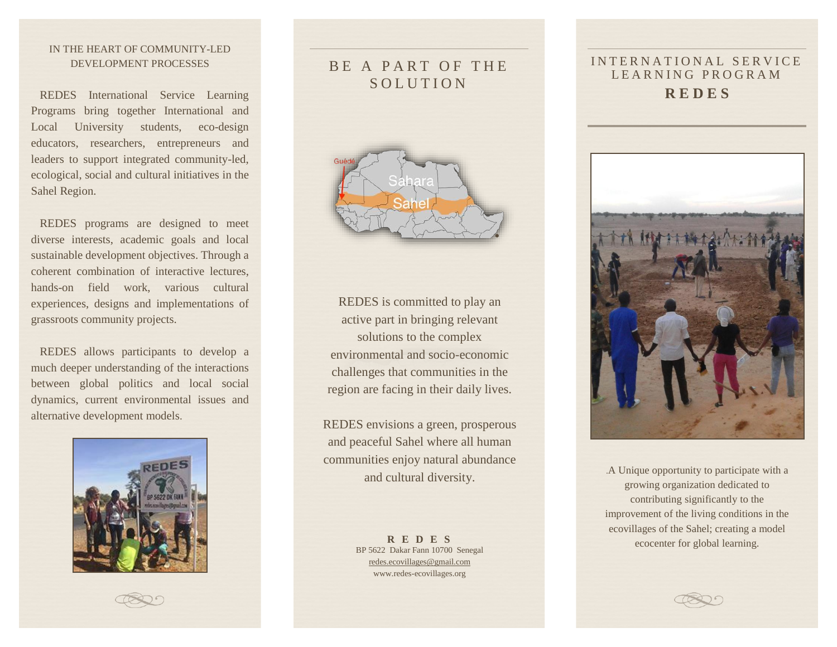### IN THE HEART OF COMMUNITY-LED DEVELOPMENT PROCESSES

 REDES International Service Learning Programs bring together International and Local University students, eco-design educators, researchers, entrepreneurs and leaders to support integrated community-led, ecological, social and cultural initiatives in the Sahel Region.

 REDES programs are designed to meet diverse interests, academic goals and local sustainable development objectives. Through a coherent combination of interactive lectures, hands-on field work, various cultural experiences, designs and implementations of grassroots community projects.

 REDES allows participants to develop a much deeper understanding of the interactions between global politics and local social dynamics, current environmental issues and alternative development models.



# BE A PART OF THE **SOLUTION**



REDES is committed to play an active part in bringing relevant solutions to the complex environmental and socio-economic challenges that communities in the region are facing in their daily lives.

REDES envisions a green, prosperous and peaceful Sahel where all human communities enjoy natural abundance and cultural diversity.

> **R E D E S** BP 5622 Dakar Fann 10700 Senegal [redes.ecovillages@gmail.com](mailto:redes.ecovillages@gmail.com) www.redes-ecovillages.org

### INTERNATIONAL SERVICE LEARNING PROGRAM **R E D E S**



.A Unique opportunity to participate with a growing organization dedicated to contributing significantly to the improvement of the living conditions in the ecovillages of the Sahel; creating a model ecocenter for global learning.